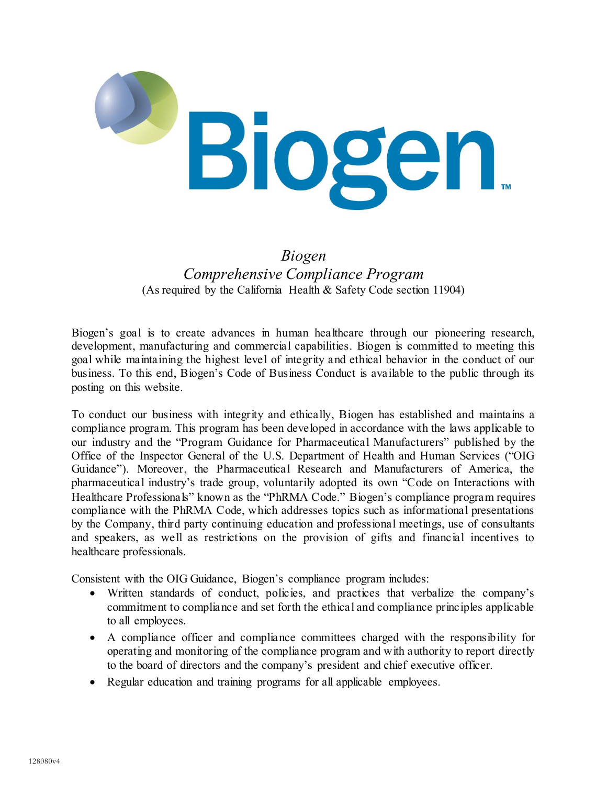

## *Biogen Comprehensive Compliance Program* (As required by the California Health & Safety Code section 11904)

Biogen's goal is to create advances in human healthcare through our pioneering research, development, manufacturing and commercial capabilities. Biogen is committed to meeting this goal while maintaining the highest level of integrity and ethical behavior in the conduct of our business. To this end, Biogen's Code of Business Conduct is available to the public through its posting on this website.

To conduct our business with integrity and ethically, Biogen has established and maintains a compliance program. This program has been developed in accordance with the laws applicable to our industry and the "Program Guidance for Pharmaceutical Manufacturers" published by the Office of the Inspector General of the U.S. Department of Health and Human Services ("OIG Guidance"). Moreover, the Pharmaceutical Research and Manufacturers of America, the pharmaceutical industry's trade group, voluntarily adopted its own "Code on Interactions with Healthcare Professionals" known as the "PhRMA Code." Biogen's compliance program requires compliance with the PhRMA Code, which addresses topics such as informational presentations by the Company, third party continuing education and professional meetings, use of consultants and speakers, as well as restrictions on the provision of gifts and financial incentives to healthcare professionals.

Consistent with the OIG Guidance, Biogen's compliance program includes:

- Written standards of conduct, policies, and practices that verbalize the company's commitment to compliance and set forth the ethical and compliance principles applicable to all employees.
- A compliance officer and compliance committees charged with the responsibility for operating and monitoring of the compliance program and with authority to report directly to the board of directors and the company's president and chief executive officer.
- Regular education and training programs for all applicable employees.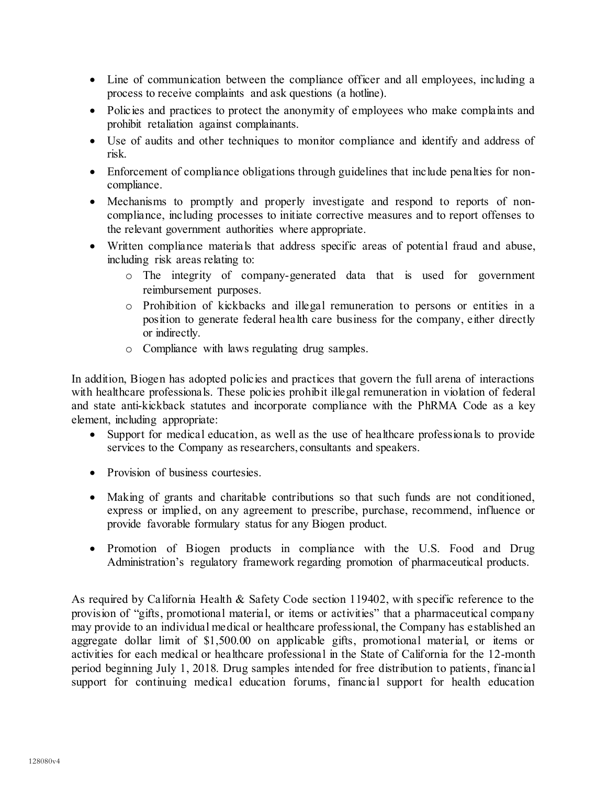- Line of communication between the compliance officer and all employees, including a process to receive complaints and ask questions (a hotline).
- Policies and practices to protect the anonymity of employees who make complaints and prohibit retaliation against complainants.
- Use of audits and other techniques to monitor compliance and identify and address of risk.
- Enforcement of compliance obligations through guidelines that include penalties for noncompliance.
- Mechanisms to promptly and properly investigate and respond to reports of noncompliance, including processes to initiate corrective measures and to report offenses to the relevant government authorities where appropriate.
- Written compliance materials that address specific areas of potential fraud and abuse, including risk areas relating to:
	- o The integrity of company-generated data that is used for government reimbursement purposes.
	- o Prohibition of kickbacks and illegal remuneration to persons or entities in a position to generate federal health care business for the company, either directly or indirectly.
	- o Compliance with laws regulating drug samples.

In addition, Biogen has adopted policies and practices that govern the full arena of interactions with healthcare professionals. These policies prohibit illegal remuneration in violation of federal and state anti-kickback statutes and incorporate compliance with the PhRMA Code as a key element, including appropriate:

- Support for medical education, as well as the use of healthcare professionals to provide services to the Company as researchers, consultants and speakers.
- Provision of business courtesies.
- Making of grants and charitable contributions so that such funds are not conditioned, express or implied, on any agreement to prescribe, purchase, recommend, influence or provide favorable formulary status for any Biogen product.
- Promotion of Biogen products in compliance with the U.S. Food and Drug Administration's regulatory framework regarding promotion of pharmaceutical products.

As required by California Health & Safety Code section 119402, with specific reference to the provision of "gifts, promotional material, or items or activities" that a pharmaceutical company may provide to an individual medical or healthcare professional, the Company has established an aggregate dollar limit of \$1,500.00 on applicable gifts, promotional material, or items or activities for each medical or healthcare professional in the State of California for the 12-month period beginning July 1, 2018. Drug samples intended for free distribution to patients, financial support for continuing medical education forums, financial support for health education